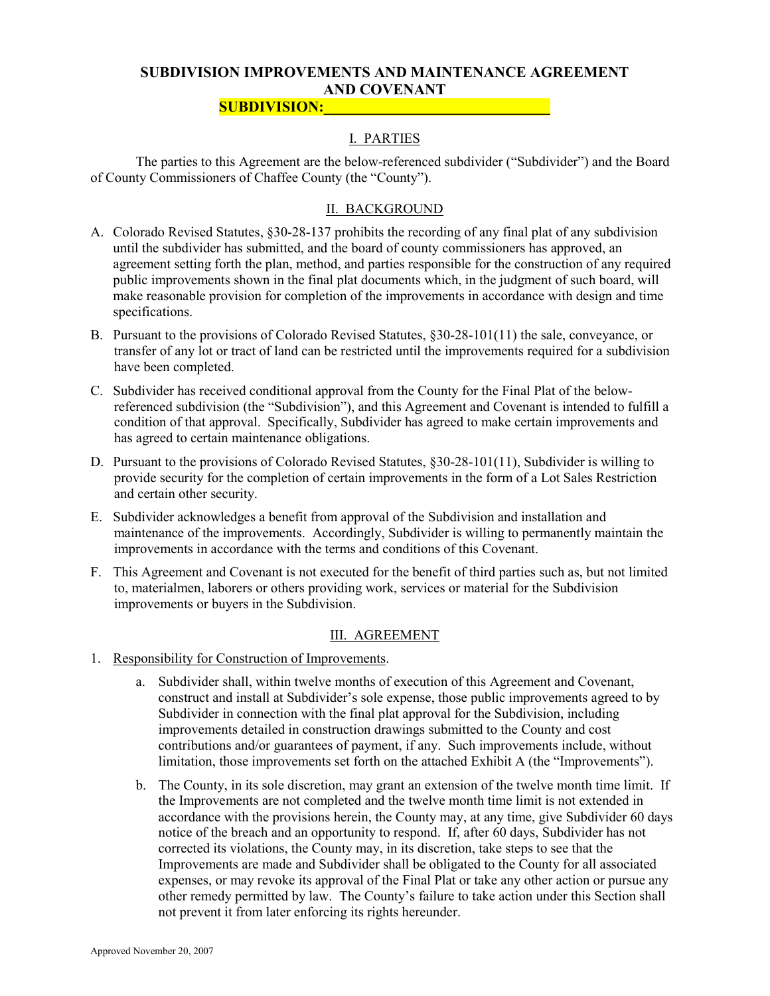# SUBDIVISION IMPROVEMENTS AND MAINTENANCE AGREEMENT AND COVENANT

### SUBDIVISION:

# I. PARTIES

 The parties to this Agreement are the below-referenced subdivider ("Subdivider") and the Board of County Commissioners of Chaffee County (the "County").

# II. BACKGROUND

- A. Colorado Revised Statutes, §30-28-137 prohibits the recording of any final plat of any subdivision until the subdivider has submitted, and the board of county commissioners has approved, an agreement setting forth the plan, method, and parties responsible for the construction of any required public improvements shown in the final plat documents which, in the judgment of such board, will make reasonable provision for completion of the improvements in accordance with design and time specifications.
- B. Pursuant to the provisions of Colorado Revised Statutes, §30-28-101(11) the sale, conveyance, or transfer of any lot or tract of land can be restricted until the improvements required for a subdivision have been completed.
- C. Subdivider has received conditional approval from the County for the Final Plat of the belowreferenced subdivision (the "Subdivision"), and this Agreement and Covenant is intended to fulfill a condition of that approval. Specifically, Subdivider has agreed to make certain improvements and has agreed to certain maintenance obligations.
- D. Pursuant to the provisions of Colorado Revised Statutes, §30-28-101(11), Subdivider is willing to provide security for the completion of certain improvements in the form of a Lot Sales Restriction and certain other security.
- E. Subdivider acknowledges a benefit from approval of the Subdivision and installation and maintenance of the improvements. Accordingly, Subdivider is willing to permanently maintain the improvements in accordance with the terms and conditions of this Covenant.
- F. This Agreement and Covenant is not executed for the benefit of third parties such as, but not limited to, materialmen, laborers or others providing work, services or material for the Subdivision improvements or buyers in the Subdivision.

### III. AGREEMENT

- 1. Responsibility for Construction of Improvements.
	- a. Subdivider shall, within twelve months of execution of this Agreement and Covenant, construct and install at Subdivider's sole expense, those public improvements agreed to by Subdivider in connection with the final plat approval for the Subdivision, including improvements detailed in construction drawings submitted to the County and cost contributions and/or guarantees of payment, if any. Such improvements include, without limitation, those improvements set forth on the attached Exhibit A (the "Improvements").
	- b. The County, in its sole discretion, may grant an extension of the twelve month time limit. If the Improvements are not completed and the twelve month time limit is not extended in accordance with the provisions herein, the County may, at any time, give Subdivider 60 days notice of the breach and an opportunity to respond. If, after 60 days, Subdivider has not corrected its violations, the County may, in its discretion, take steps to see that the Improvements are made and Subdivider shall be obligated to the County for all associated expenses, or may revoke its approval of the Final Plat or take any other action or pursue any other remedy permitted by law. The County's failure to take action under this Section shall not prevent it from later enforcing its rights hereunder.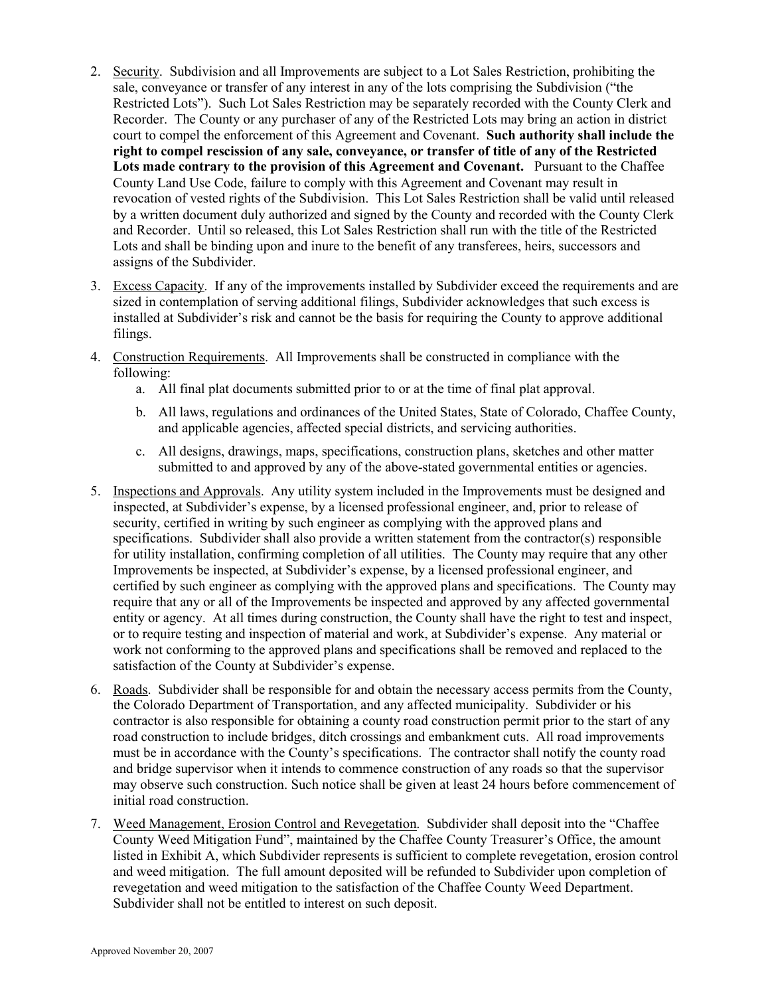- 2. Security. Subdivision and all Improvements are subject to a Lot Sales Restriction, prohibiting the sale, conveyance or transfer of any interest in any of the lots comprising the Subdivision ("the Restricted Lots"). Such Lot Sales Restriction may be separately recorded with the County Clerk and Recorder. The County or any purchaser of any of the Restricted Lots may bring an action in district court to compel the enforcement of this Agreement and Covenant. Such authority shall include the right to compel rescission of any sale, conveyance, or transfer of title of any of the Restricted Lots made contrary to the provision of this Agreement and Covenant. Pursuant to the Chaffee County Land Use Code, failure to comply with this Agreement and Covenant may result in revocation of vested rights of the Subdivision. This Lot Sales Restriction shall be valid until released by a written document duly authorized and signed by the County and recorded with the County Clerk and Recorder. Until so released, this Lot Sales Restriction shall run with the title of the Restricted Lots and shall be binding upon and inure to the benefit of any transferees, heirs, successors and assigns of the Subdivider.
- 3. Excess Capacity. If any of the improvements installed by Subdivider exceed the requirements and are sized in contemplation of serving additional filings, Subdivider acknowledges that such excess is installed at Subdivider's risk and cannot be the basis for requiring the County to approve additional filings.
- 4. Construction Requirements. All Improvements shall be constructed in compliance with the following:
	- a. All final plat documents submitted prior to or at the time of final plat approval.
	- b. All laws, regulations and ordinances of the United States, State of Colorado, Chaffee County, and applicable agencies, affected special districts, and servicing authorities.
	- c. All designs, drawings, maps, specifications, construction plans, sketches and other matter submitted to and approved by any of the above-stated governmental entities or agencies.
- 5. Inspections and Approvals. Any utility system included in the Improvements must be designed and inspected, at Subdivider's expense, by a licensed professional engineer, and, prior to release of security, certified in writing by such engineer as complying with the approved plans and specifications. Subdivider shall also provide a written statement from the contractor(s) responsible for utility installation, confirming completion of all utilities. The County may require that any other Improvements be inspected, at Subdivider's expense, by a licensed professional engineer, and certified by such engineer as complying with the approved plans and specifications. The County may require that any or all of the Improvements be inspected and approved by any affected governmental entity or agency. At all times during construction, the County shall have the right to test and inspect, or to require testing and inspection of material and work, at Subdivider's expense. Any material or work not conforming to the approved plans and specifications shall be removed and replaced to the satisfaction of the County at Subdivider's expense.
- 6. Roads. Subdivider shall be responsible for and obtain the necessary access permits from the County, the Colorado Department of Transportation, and any affected municipality. Subdivider or his contractor is also responsible for obtaining a county road construction permit prior to the start of any road construction to include bridges, ditch crossings and embankment cuts. All road improvements must be in accordance with the County's specifications. The contractor shall notify the county road and bridge supervisor when it intends to commence construction of any roads so that the supervisor may observe such construction. Such notice shall be given at least 24 hours before commencement of initial road construction.
- 7. Weed Management, Erosion Control and Revegetation. Subdivider shall deposit into the "Chaffee County Weed Mitigation Fund", maintained by the Chaffee County Treasurer's Office, the amount listed in Exhibit A, which Subdivider represents is sufficient to complete revegetation, erosion control and weed mitigation. The full amount deposited will be refunded to Subdivider upon completion of revegetation and weed mitigation to the satisfaction of the Chaffee County Weed Department. Subdivider shall not be entitled to interest on such deposit.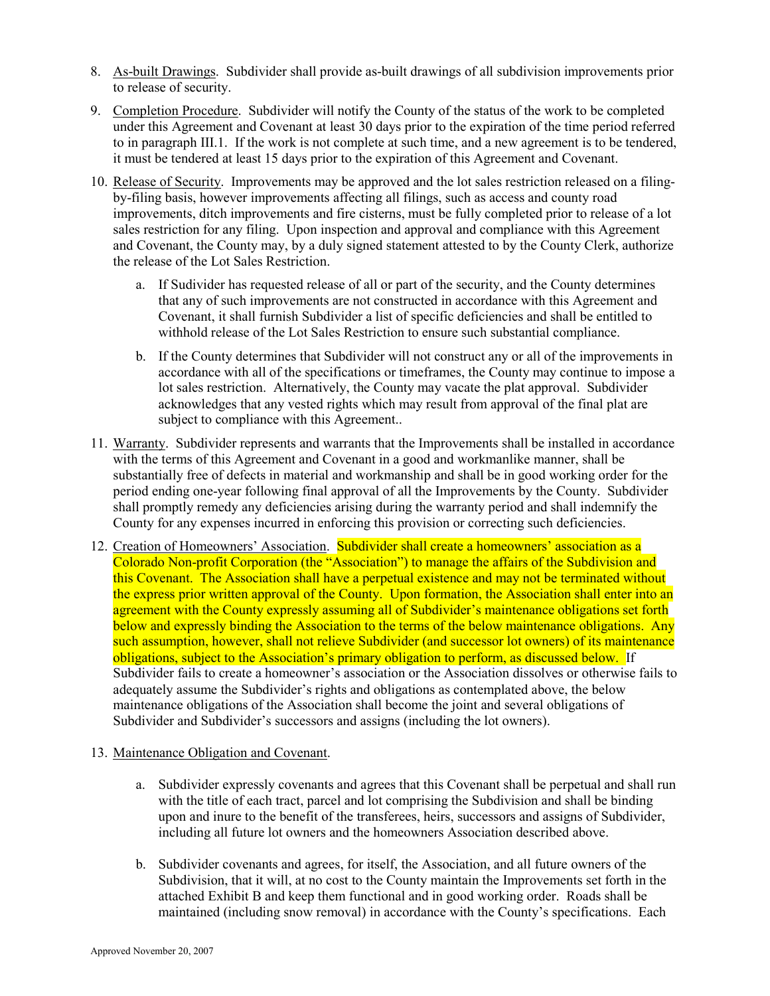- 8. As-built Drawings. Subdivider shall provide as-built drawings of all subdivision improvements prior to release of security.
- 9. Completion Procedure. Subdivider will notify the County of the status of the work to be completed under this Agreement and Covenant at least 30 days prior to the expiration of the time period referred to in paragraph III.1. If the work is not complete at such time, and a new agreement is to be tendered, it must be tendered at least 15 days prior to the expiration of this Agreement and Covenant.
- 10. Release of Security. Improvements may be approved and the lot sales restriction released on a filingby-filing basis, however improvements affecting all filings, such as access and county road improvements, ditch improvements and fire cisterns, must be fully completed prior to release of a lot sales restriction for any filing. Upon inspection and approval and compliance with this Agreement and Covenant, the County may, by a duly signed statement attested to by the County Clerk, authorize the release of the Lot Sales Restriction.
	- a. If Sudivider has requested release of all or part of the security, and the County determines that any of such improvements are not constructed in accordance with this Agreement and Covenant, it shall furnish Subdivider a list of specific deficiencies and shall be entitled to withhold release of the Lot Sales Restriction to ensure such substantial compliance.
	- b. If the County determines that Subdivider will not construct any or all of the improvements in accordance with all of the specifications or timeframes, the County may continue to impose a lot sales restriction. Alternatively, the County may vacate the plat approval. Subdivider acknowledges that any vested rights which may result from approval of the final plat are subject to compliance with this Agreement..
- 11. Warranty. Subdivider represents and warrants that the Improvements shall be installed in accordance with the terms of this Agreement and Covenant in a good and workmanlike manner, shall be substantially free of defects in material and workmanship and shall be in good working order for the period ending one-year following final approval of all the Improvements by the County. Subdivider shall promptly remedy any deficiencies arising during the warranty period and shall indemnify the County for any expenses incurred in enforcing this provision or correcting such deficiencies.
- 12. Creation of Homeowners' Association. Subdivider shall create a homeowners' association as a Colorado Non-profit Corporation (the "Association") to manage the affairs of the Subdivision and this Covenant. The Association shall have a perpetual existence and may not be terminated without the express prior written approval of the County. Upon formation, the Association shall enter into an agreement with the County expressly assuming all of Subdivider's maintenance obligations set forth below and expressly binding the Association to the terms of the below maintenance obligations. Any such assumption, however, shall not relieve Subdivider (and successor lot owners) of its maintenance obligations, subject to the Association's primary obligation to perform, as discussed below. If Subdivider fails to create a homeowner's association or the Association dissolves or otherwise fails to adequately assume the Subdivider's rights and obligations as contemplated above, the below maintenance obligations of the Association shall become the joint and several obligations of Subdivider and Subdivider's successors and assigns (including the lot owners).
- 13. Maintenance Obligation and Covenant.
	- a. Subdivider expressly covenants and agrees that this Covenant shall be perpetual and shall run with the title of each tract, parcel and lot comprising the Subdivision and shall be binding upon and inure to the benefit of the transferees, heirs, successors and assigns of Subdivider, including all future lot owners and the homeowners Association described above.
	- b. Subdivider covenants and agrees, for itself, the Association, and all future owners of the Subdivision, that it will, at no cost to the County maintain the Improvements set forth in the attached Exhibit B and keep them functional and in good working order. Roads shall be maintained (including snow removal) in accordance with the County's specifications. Each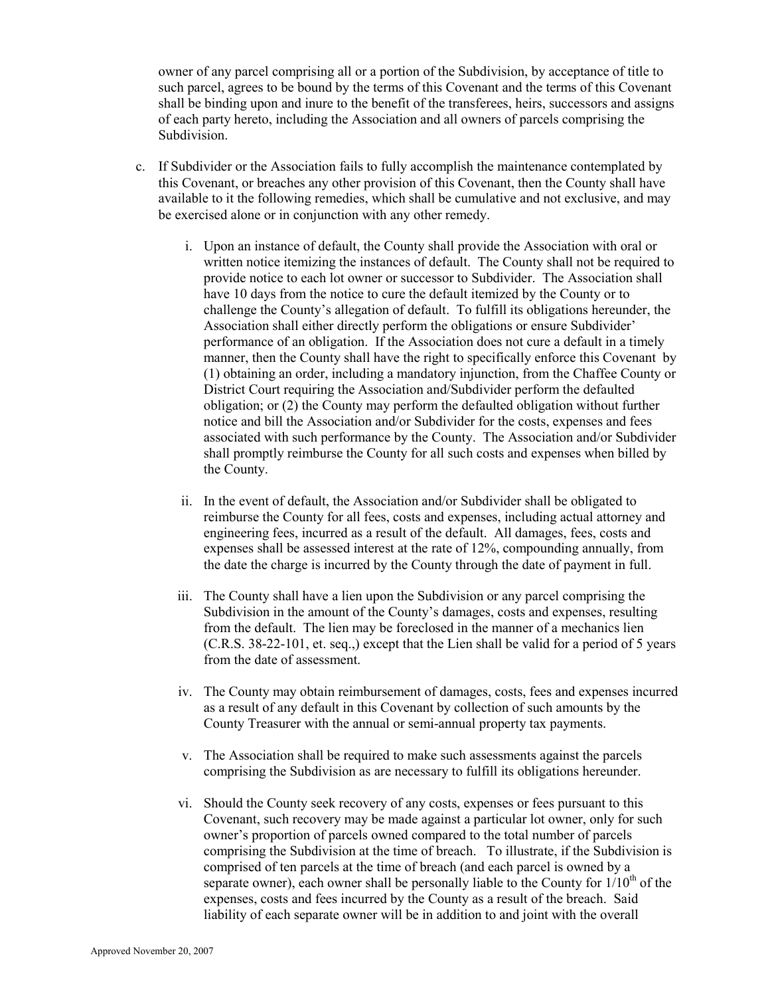owner of any parcel comprising all or a portion of the Subdivision, by acceptance of title to such parcel, agrees to be bound by the terms of this Covenant and the terms of this Covenant shall be binding upon and inure to the benefit of the transferees, heirs, successors and assigns of each party hereto, including the Association and all owners of parcels comprising the Subdivision.

- c. If Subdivider or the Association fails to fully accomplish the maintenance contemplated by this Covenant, or breaches any other provision of this Covenant, then the County shall have available to it the following remedies, which shall be cumulative and not exclusive, and may be exercised alone or in conjunction with any other remedy.
	- i. Upon an instance of default, the County shall provide the Association with oral or written notice itemizing the instances of default. The County shall not be required to provide notice to each lot owner or successor to Subdivider. The Association shall have 10 days from the notice to cure the default itemized by the County or to challenge the County's allegation of default. To fulfill its obligations hereunder, the Association shall either directly perform the obligations or ensure Subdivider' performance of an obligation. If the Association does not cure a default in a timely manner, then the County shall have the right to specifically enforce this Covenant by (1) obtaining an order, including a mandatory injunction, from the Chaffee County or District Court requiring the Association and/Subdivider perform the defaulted obligation; or (2) the County may perform the defaulted obligation without further notice and bill the Association and/or Subdivider for the costs, expenses and fees associated with such performance by the County. The Association and/or Subdivider shall promptly reimburse the County for all such costs and expenses when billed by the County.
	- ii. In the event of default, the Association and/or Subdivider shall be obligated to reimburse the County for all fees, costs and expenses, including actual attorney and engineering fees, incurred as a result of the default. All damages, fees, costs and expenses shall be assessed interest at the rate of 12%, compounding annually, from the date the charge is incurred by the County through the date of payment in full.
	- iii. The County shall have a lien upon the Subdivision or any parcel comprising the Subdivision in the amount of the County's damages, costs and expenses, resulting from the default. The lien may be foreclosed in the manner of a mechanics lien (C.R.S. 38-22-101, et. seq.,) except that the Lien shall be valid for a period of 5 years from the date of assessment.
	- iv. The County may obtain reimbursement of damages, costs, fees and expenses incurred as a result of any default in this Covenant by collection of such amounts by the County Treasurer with the annual or semi-annual property tax payments.
	- v. The Association shall be required to make such assessments against the parcels comprising the Subdivision as are necessary to fulfill its obligations hereunder.
	- vi. Should the County seek recovery of any costs, expenses or fees pursuant to this Covenant, such recovery may be made against a particular lot owner, only for such owner's proportion of parcels owned compared to the total number of parcels comprising the Subdivision at the time of breach. To illustrate, if the Subdivision is comprised of ten parcels at the time of breach (and each parcel is owned by a separate owner), each owner shall be personally liable to the County for  $1/10<sup>th</sup>$  of the expenses, costs and fees incurred by the County as a result of the breach. Said liability of each separate owner will be in addition to and joint with the overall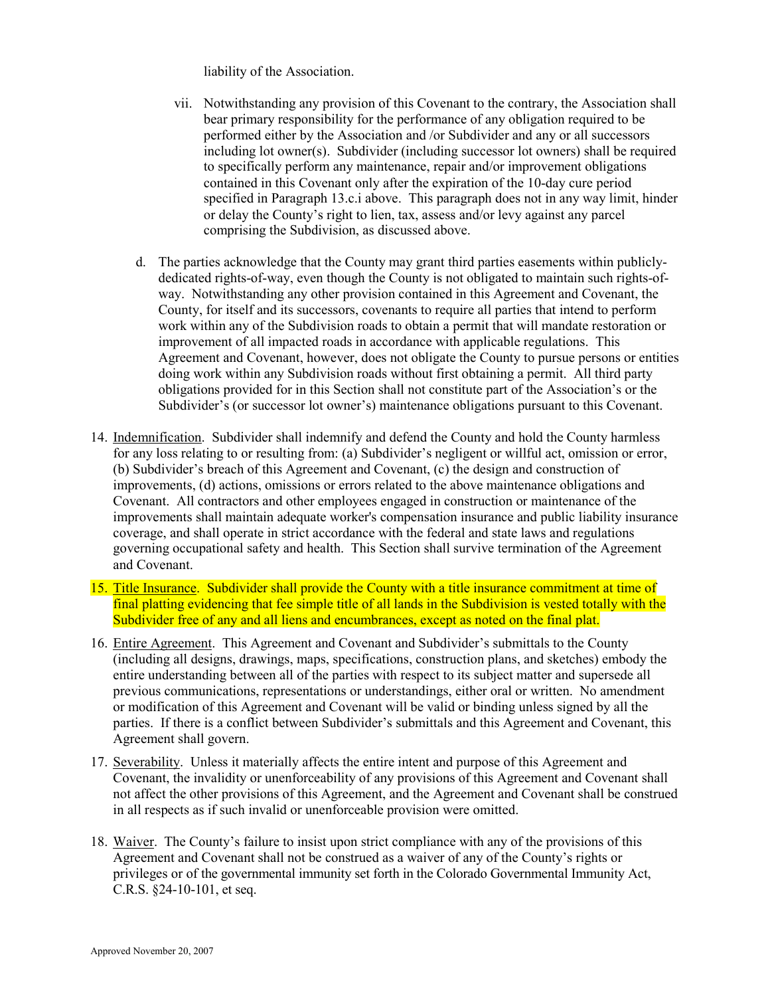liability of the Association.

- vii. Notwithstanding any provision of this Covenant to the contrary, the Association shall bear primary responsibility for the performance of any obligation required to be performed either by the Association and /or Subdivider and any or all successors including lot owner(s). Subdivider (including successor lot owners) shall be required to specifically perform any maintenance, repair and/or improvement obligations contained in this Covenant only after the expiration of the 10-day cure period specified in Paragraph 13.c.i above. This paragraph does not in any way limit, hinder or delay the County's right to lien, tax, assess and/or levy against any parcel comprising the Subdivision, as discussed above.
- d. The parties acknowledge that the County may grant third parties easements within publiclydedicated rights-of-way, even though the County is not obligated to maintain such rights-ofway. Notwithstanding any other provision contained in this Agreement and Covenant, the County, for itself and its successors, covenants to require all parties that intend to perform work within any of the Subdivision roads to obtain a permit that will mandate restoration or improvement of all impacted roads in accordance with applicable regulations. This Agreement and Covenant, however, does not obligate the County to pursue persons or entities doing work within any Subdivision roads without first obtaining a permit. All third party obligations provided for in this Section shall not constitute part of the Association's or the Subdivider's (or successor lot owner's) maintenance obligations pursuant to this Covenant.
- 14. Indemnification. Subdivider shall indemnify and defend the County and hold the County harmless for any loss relating to or resulting from: (a) Subdivider's negligent or willful act, omission or error, (b) Subdivider's breach of this Agreement and Covenant, (c) the design and construction of improvements, (d) actions, omissions or errors related to the above maintenance obligations and Covenant. All contractors and other employees engaged in construction or maintenance of the improvements shall maintain adequate worker's compensation insurance and public liability insurance coverage, and shall operate in strict accordance with the federal and state laws and regulations governing occupational safety and health. This Section shall survive termination of the Agreement and Covenant.
- 15. Title Insurance. Subdivider shall provide the County with a title insurance commitment at time of final platting evidencing that fee simple title of all lands in the Subdivision is vested totally with the Subdivider free of any and all liens and encumbrances, except as noted on the final plat.
- 16. Entire Agreement. This Agreement and Covenant and Subdivider's submittals to the County (including all designs, drawings, maps, specifications, construction plans, and sketches) embody the entire understanding between all of the parties with respect to its subject matter and supersede all previous communications, representations or understandings, either oral or written. No amendment or modification of this Agreement and Covenant will be valid or binding unless signed by all the parties. If there is a conflict between Subdivider's submittals and this Agreement and Covenant, this Agreement shall govern.
- 17. Severability. Unless it materially affects the entire intent and purpose of this Agreement and Covenant, the invalidity or unenforceability of any provisions of this Agreement and Covenant shall not affect the other provisions of this Agreement, and the Agreement and Covenant shall be construed in all respects as if such invalid or unenforceable provision were omitted.
- 18. Waiver. The County's failure to insist upon strict compliance with any of the provisions of this Agreement and Covenant shall not be construed as a waiver of any of the County's rights or privileges or of the governmental immunity set forth in the Colorado Governmental Immunity Act, C.R.S. §24-10-101, et seq.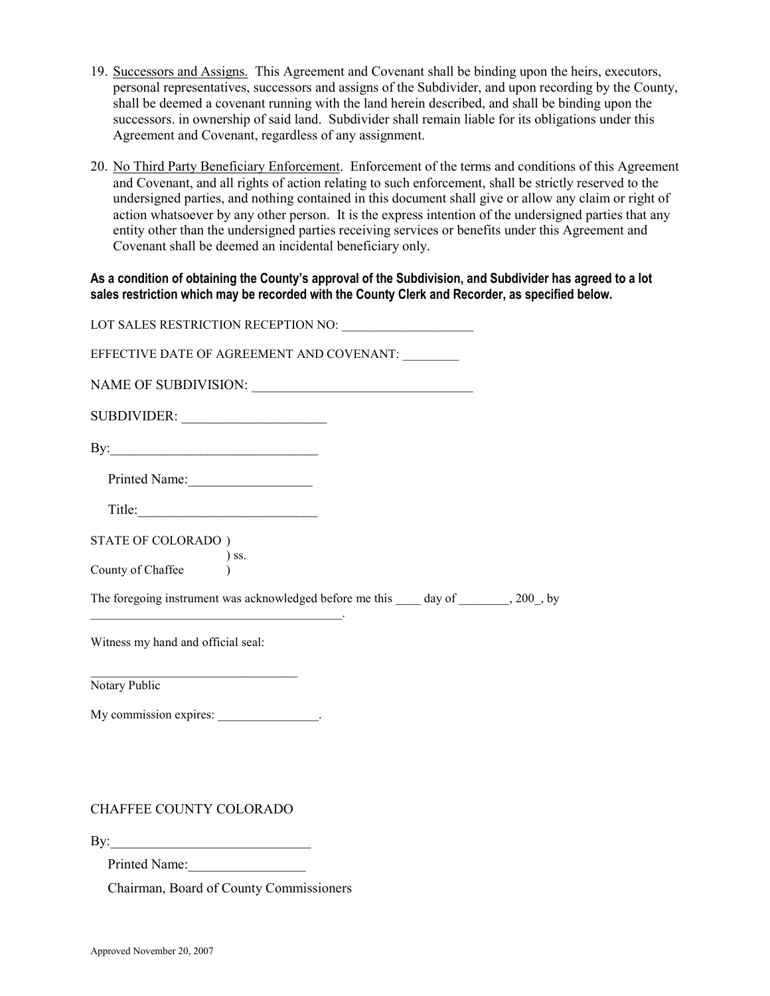- 19. Successors and Assigns. This Agreement and Covenant shall be binding upon the heirs, executors, personal representatives, successors and assigns of the Subdivider, and upon recording by the County, shall be deemed a covenant running with the land herein described, and shall be binding upon the successors. in ownership of said land. Subdivider shall remain liable for its obligations under this Agreement and Covenant, regardless of any assignment.
- 20. No Third Party Beneficiary Enforcement. Enforcement of the terms and conditions of this Agreement and Covenant, and all rights of action relating to such enforcement, shall be strictly reserved to the undersigned parties, and nothing contained in this document shall give or allow any claim or right of action whatsoever by any other person. It is the express intention of the undersigned parties that any entity other than the undersigned parties receiving services or benefits under this Agreement and Covenant shall be deemed an incidental beneficiary only.

As a condition of obtaining the County's approval of the Subdivision, and Subdivider has agreed to a lot sales restriction which may be recorded with the County Clerk and Recorder, as specified below.

| EFFECTIVE DATE OF AGREEMENT AND COVENANT:                                                                                                                            |
|----------------------------------------------------------------------------------------------------------------------------------------------------------------------|
|                                                                                                                                                                      |
| SUBDIVIDER:                                                                                                                                                          |
|                                                                                                                                                                      |
| Printed Name:                                                                                                                                                        |
| Title:                                                                                                                                                               |
| STATE OF COLORADO)<br>$\begin{tabular}{ll} & & & s.\\ \hline \text{Country of Chaffee} & & & s.\\ \end{tabular}$                                                     |
| The foregoing instrument was acknowledged before me this _____ day of ________, 200_, by<br><u> 1989 - Johann John Stein, mars an deus Amerikaansk kommunister (</u> |
| Witness my hand and official seal:                                                                                                                                   |
| <u> 1989 - Johann John Stein, fransk politik (d. 1989)</u><br>Notary Public                                                                                          |
| My commission expires: ________________.                                                                                                                             |

### CHAFFEE COUNTY COLORADO

 $\mathbf{By:}$ 

Printed Name:

Chairman, Board of County Commissioners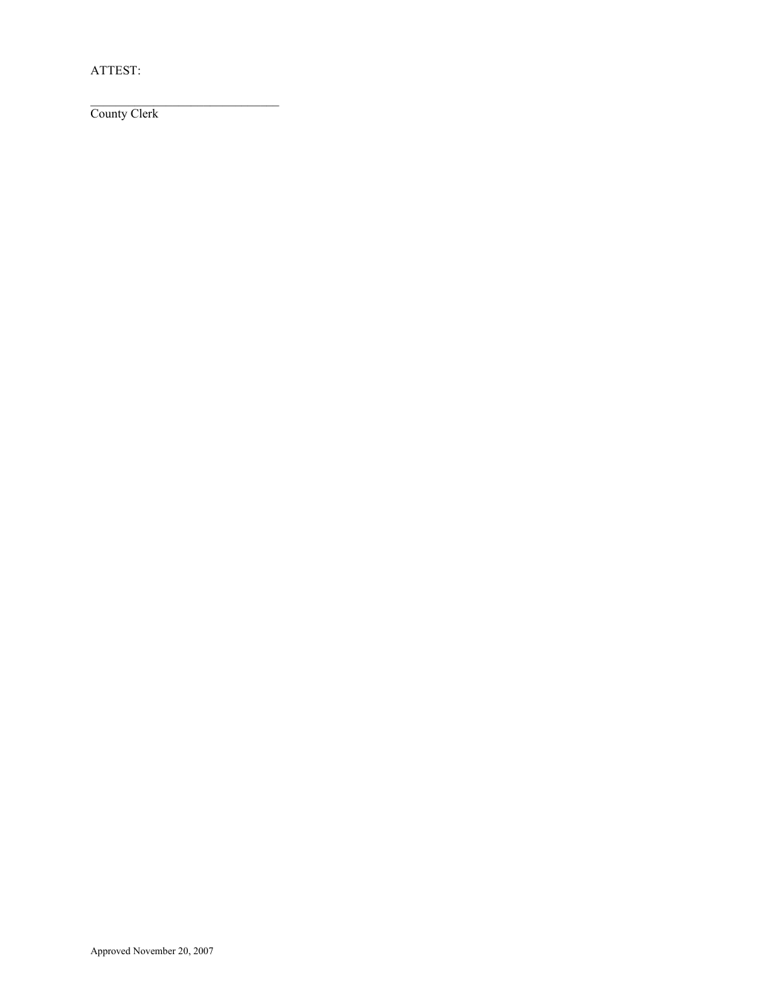ATTEST:

\_\_\_\_\_\_\_\_\_\_\_\_\_\_\_\_\_\_\_\_\_\_\_\_\_\_\_\_\_\_ County Clerk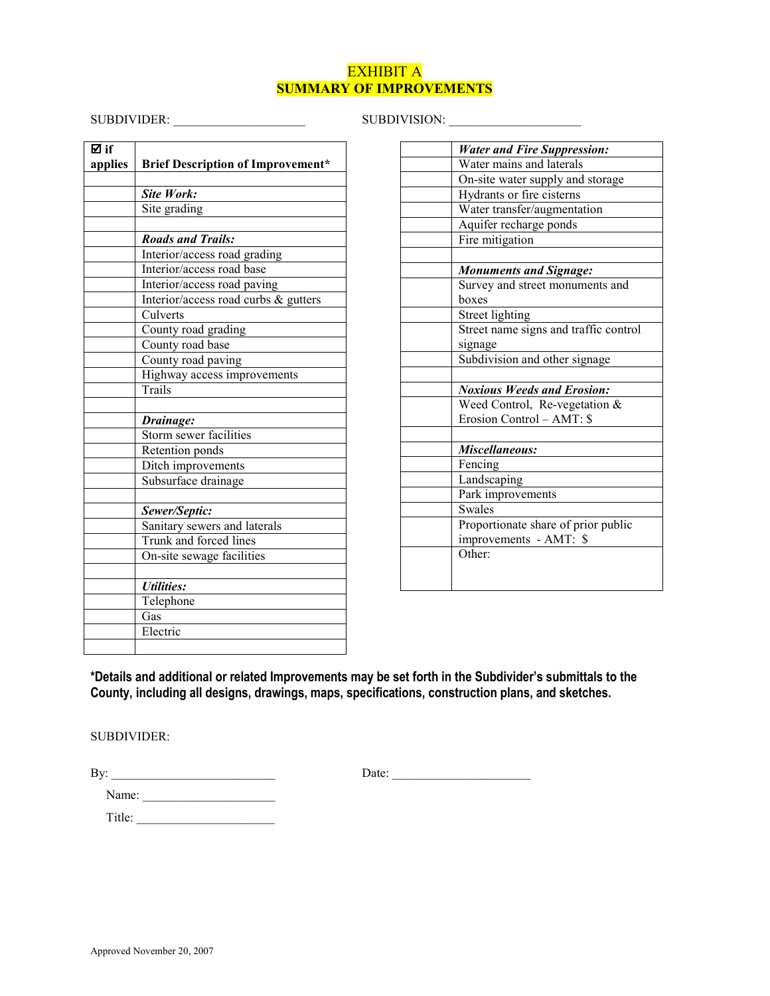# EXHIBIT A SUMMARY OF IMPROVEMENTS

# SUBDIVIDER: \_\_\_\_\_\_\_\_\_\_\_\_\_\_\_\_\_\_\_\_\_ SUBDIVISION: \_\_\_\_\_\_\_\_\_\_\_\_\_\_\_\_\_\_\_\_\_

| ⊠ if    |                                          |
|---------|------------------------------------------|
| applies | <b>Brief Description of Improvement*</b> |
|         |                                          |
|         | Site Work:                               |
|         | Site grading                             |
|         |                                          |
|         | <b>Roads and Trails:</b>                 |
|         | Interior/access road grading             |
|         | Interior/access road base                |
|         | Interior/access road paving              |
|         | Interior/access road curbs & gutters     |
|         | Culverts                                 |
|         | County road grading                      |
|         | County road base                         |
|         | County road paving                       |
|         | Highway access improvements              |
|         | Trails                                   |
|         |                                          |
|         | Drainage:                                |
|         | Storm sewer facilities                   |
|         | Retention ponds                          |
|         | Ditch improvements                       |
|         | Subsurface drainage                      |
|         |                                          |
|         | Sewer/Septic:                            |
|         | Sanitary sewers and laterals             |
|         | Trunk and forced lines                   |
|         | On-site sewage facilities                |
|         |                                          |
|         | <b><i>Utilities:</i></b>                 |
|         | Telephone                                |
|         | Gas                                      |
|         | Electric                                 |
|         |                                          |

| <b>Water and Fire Suppression:</b>    |
|---------------------------------------|
| Water mains and laterals              |
| On-site water supply and storage      |
| Hydrants or fire cisterns             |
| Water transfer/augmentation           |
| Aquifer recharge ponds                |
| Fire mitigation                       |
|                                       |
| <b>Monuments and Signage:</b>         |
| Survey and street monuments and       |
| boxes                                 |
| Street lighting                       |
| Street name signs and traffic control |
| signage                               |
| Subdivision and other signage         |
|                                       |
| <b>Noxious Weeds and Erosion:</b>     |
| Weed Control, Re-vegetation &         |
| Erosion Control – AMT: \$             |
|                                       |
| Miscellaneous:                        |
| Fencing                               |
| Landscaping                           |
| Park improvements                     |
| <b>Swales</b>                         |
| Proportionate share of prior public   |
| improvements - AMT: \$                |
| Other:                                |
|                                       |
|                                       |

\*Details and additional or related Improvements may be set forth in the Subdivider's submittals to the County, including all designs, drawings, maps, specifications, construction plans, and sketches.

SUBDIVIDER:

By: \_\_\_\_\_\_\_\_\_\_\_\_\_\_\_\_\_\_\_\_\_\_\_\_\_\_ Date: \_\_\_\_\_\_\_\_\_\_\_\_\_\_\_\_\_\_\_\_\_\_

| ٠     |  |  |  |
|-------|--|--|--|
| Name: |  |  |  |

Title: